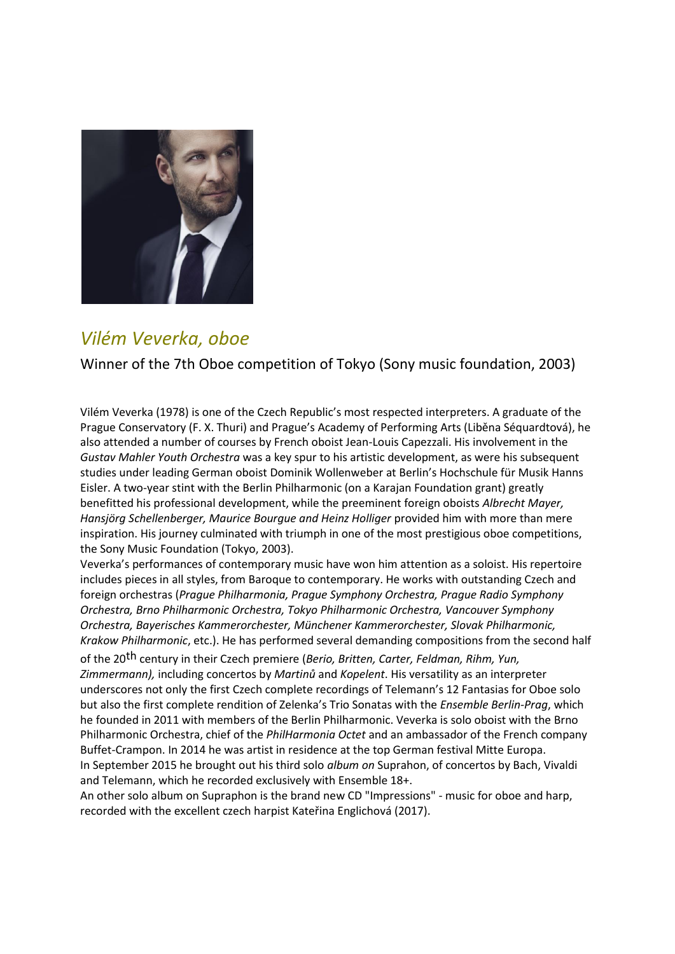

### *Vilém Veverka, oboe*

Winner of the 7th Oboe competition of Tokyo (Sony music foundation, 2003)

Vilém Veverka (1978) is one of the Czech Republic's most respected interpreters. A graduate of the Prague Conservatory (F. X. Thuri) and Prague's Academy of Performing Arts (Liběna Séquardtová), he also attended a number of courses by French oboist Jean-Louis Capezzali. His involvement in the *Gustav Mahler Youth Orchestra* was a key spur to his artistic development, as were his subsequent studies under leading German oboist Dominik Wollenweber at Berlin's Hochschule für Musik Hanns Eisler. A two-year stint with the Berlin Philharmonic (on a Karajan Foundation grant) greatly benefitted his professional development, while the preeminent foreign oboists *Albrecht Mayer, Hansjörg Schellenberger, Maurice Bourgue and Heinz Holliger* provided him with more than mere inspiration. His journey culminated with triumph in one of the most prestigious oboe competitions, the Sony Music Foundation (Tokyo, 2003).

Veverka's performances of contemporary music have won him attention as a soloist. His repertoire includes pieces in all styles, from Baroque to contemporary. He works with outstanding Czech and foreign orchestras (*Prague Philharmonia, Prague Symphony Orchestra, Prague Radio Symphony Orchestra, Brno Philharmonic Orchestra, Tokyo Philharmonic Orchestra, Vancouver Symphony Orchestra, Bayerisches Kammerorchester, Münchener Kammerorchester, Slovak Philharmonic, Krakow Philharmonic*, etc.). He has performed several demanding compositions from the second half

of the 20th century in their Czech premiere (*Berio, Britten, Carter, Feldman, Rihm, Yun, Zimmermann),* including concertos by *Martinů* and *Kopelent*. His versatility as an interpreter underscores not only the first Czech complete recordings of Telemann's 12 Fantasias for Oboe solo but also the first complete rendition of Zelenka's Trio Sonatas with the *Ensemble Berlin-Prag*, which he founded in 2011 with members of the Berlin Philharmonic. Veverka is solo oboist with the Brno Philharmonic Orchestra, chief of the *PhilHarmonia Octet* and an ambassador of the French company Buffet-Crampon. In 2014 he was artist in residence at the top German festival Mitte Europa. In September 2015 he brought out his third solo *album on* Suprahon, of concertos by Bach, Vivaldi and Telemann, which he recorded exclusively with Ensemble 18+.

An other solo album on Supraphon is the brand new CD "Impressions" - music for oboe and harp, recorded with the excellent czech harpist Kateřina Englichová (2017).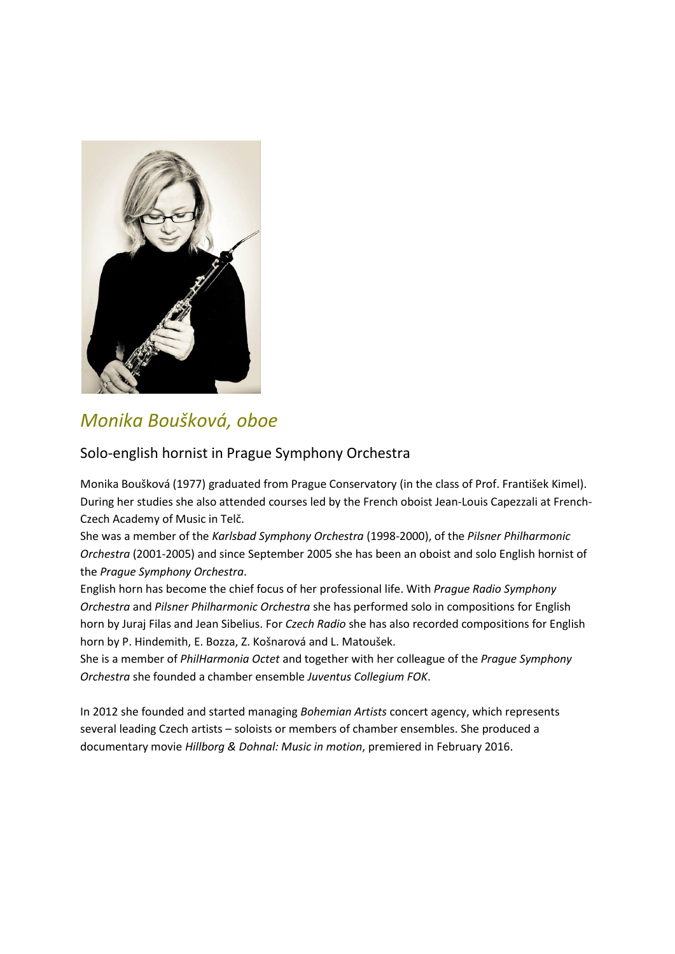

# *Monika Boušková, oboe*

#### Solo-english hornist in Prague Symphony Orchestra

Monika Boušková (1977) graduated from Prague Conservatory (in the class of Prof. František Kimel). During her studies she also attended courses led by the French oboist Jean-Louis Capezzali at French-Czech Academy of Music in Telč.

She was a member of the *Karlsbad Symphony Orchestra* (1998-2000), of the *Pilsner Philharmonic Orchestra* (2001-2005) and since September 2005 she has been an oboist and solo English hornist of the *Prague Symphony Orchestra*.

English horn has become the chief focus of her professional life. With *Prague Radio Symphony Orchestra* and *Pilsner Philharmonic Orchestra* she has performed solo in compositions for English horn by Juraj Filas and Jean Sibelius. For *Czech Radio* she has also recorded compositions for English horn by P. Hindemith, E. Bozza, Z. Košnarová and L. Matoušek.

She is a member of *PhilHarmonia Octet* and together with her colleague of the *Prague Symphony Orchestra* she founded a chamber ensemble *Juventus Collegium FOK*.

In 2012 she founded and started managing *Bohemian Artists* concert agency, which represents several leading Czech artists – soloists or members of chamber ensembles. She produced a documentary movie *Hillborg & Dohnal: Music in motion*, premiered in February 2016.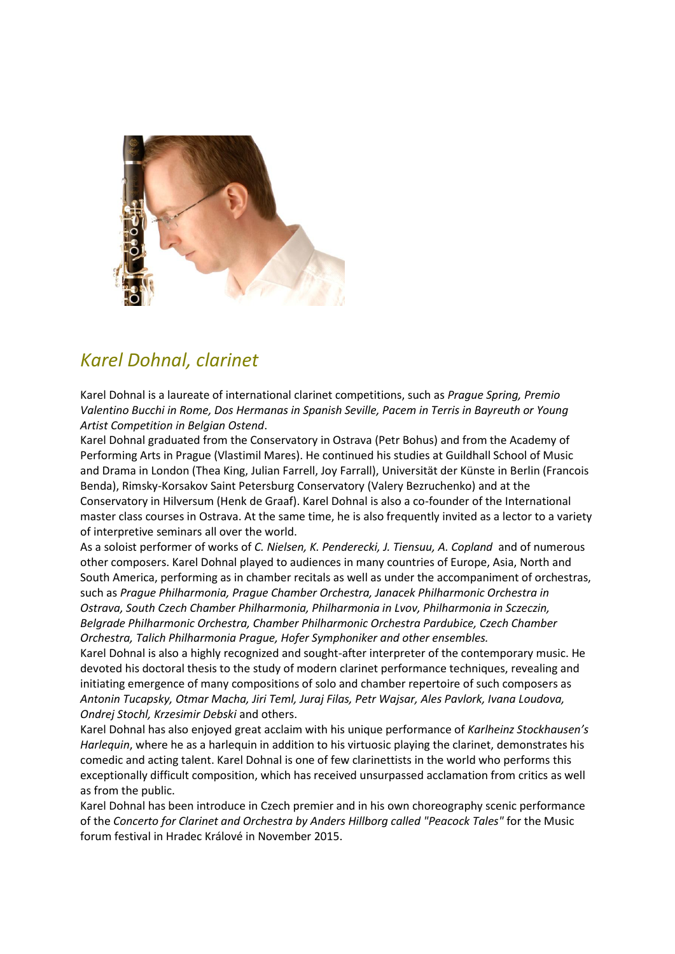

## *Karel Dohnal, clarinet*

Karel Dohnal is a laureate of international clarinet competitions, such as *Prague Spring, Premio Valentino Bucchi in Rome, Dos Hermanas in Spanish Seville, Pacem in Terris in Bayreuth or Young Artist Competition in Belgian Ostend*.

Karel Dohnal graduated from the Conservatory in Ostrava (Petr Bohus) and from the Academy of Performing Arts in Prague (Vlastimil Mares). He continued his studies at Guildhall School of Music and Drama in London (Thea King, Julian Farrell, Joy Farrall), Universität der Künste in Berlin (Francois Benda), Rimsky-Korsakov Saint Petersburg Conservatory (Valery Bezruchenko) and at the Conservatory in Hilversum (Henk de Graaf). Karel Dohnal is also a co-founder of the International master class courses in Ostrava. At the same time, he is also frequently invited as a lector to a variety of interpretive seminars all over the world.

As a soloist performer of works of *C. Nielsen, K. Penderecki, J. Tiensuu, A. Copland* and of numerous other composers. Karel Dohnal played to audiences in many countries of Europe, Asia, North and South America, performing as in chamber recitals as well as under the accompaniment of orchestras, such as *Prague Philharmonia, Prague Chamber Orchestra, Janacek Philharmonic Orchestra in Ostrava, South Czech Chamber Philharmonia, Philharmonia in Lvov, Philharmonia in Sczeczin, Belgrade Philharmonic Orchestra, Chamber Philharmonic Orchestra Pardubice, Czech Chamber Orchestra, Talich Philharmonia Prague, Hofer Symphoniker and other ensembles.*

Karel Dohnal is also a highly recognized and sought-after interpreter of the contemporary music. He devoted his doctoral thesis to the study of modern clarinet performance techniques, revealing and initiating emergence of many compositions of solo and chamber repertoire of such composers as *Antonin Tucapsky, Otmar Macha, Jiri Teml, Juraj Filas, Petr Wajsar, Ales Pavlork, Ivana Loudova, Ondrej Stochl, Krzesimir Debski* and others.

Karel Dohnal has also enjoyed great acclaim with his unique performance of *Karlheinz Stockhausen's Harlequin*, where he as a harlequin in addition to his virtuosic playing the clarinet, demonstrates his comedic and acting talent. Karel Dohnal is one of few clarinettists in the world who performs this exceptionally difficult composition, which has received unsurpassed acclamation from critics as well as from the public.

Karel Dohnal has been introduce in Czech premier and in his own choreography scenic performance of the *Concerto for Clarinet and Orchestra by Anders Hillborg called "Peacock Tales"* for the Music forum festival in Hradec Králové in November 2015.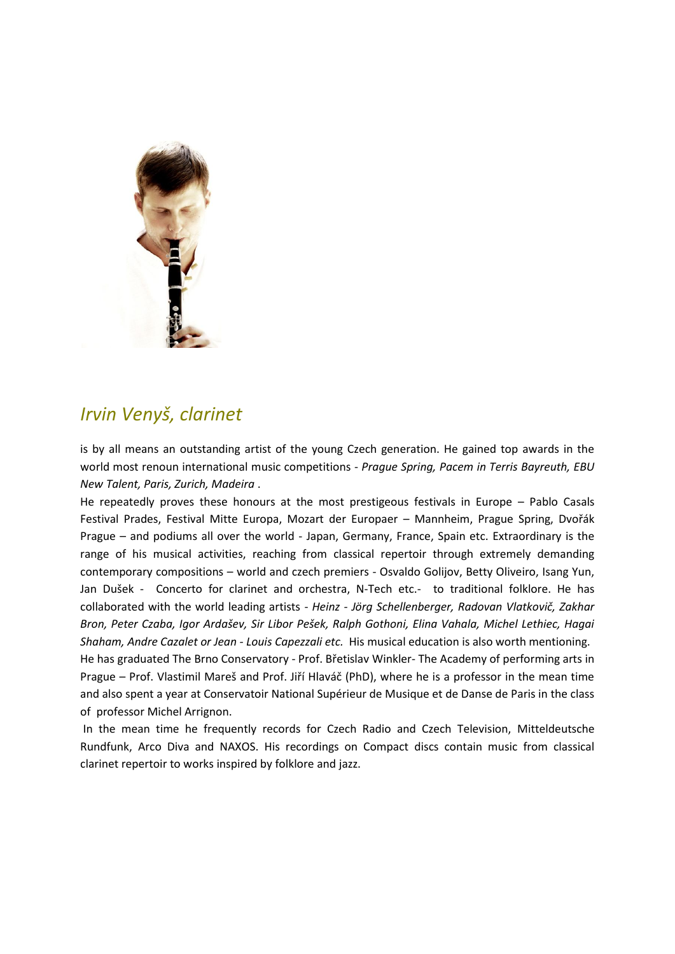

### *Irvin Venyš, clarinet*

is by all means an outstanding artist of the young Czech generation. He gained top awards in the world most renoun international music competitions - *Prague Spring, Pacem in Terris Bayreuth, EBU New Talent, Paris, Zurich, Madeira* .

He repeatedly proves these honours at the most prestigeous festivals in Europe – Pablo Casals Festival Prades, Festival Mitte Europa, Mozart der Europaer – Mannheim, Prague Spring, Dvořák Prague – and podiums all over the world - Japan, Germany, France, Spain etc. Extraordinary is the range of his musical activities, reaching from classical repertoir through extremely demanding contemporary compositions – world and czech premiers - Osvaldo Golijov, Betty Oliveiro, Isang Yun, Jan Dušek - Concerto for clarinet and orchestra, N-Tech etc.- to traditional folklore. He has collaborated with the world leading artists - *Heinz - Jörg Schellenberger, Radovan Vlatkovič, Zakhar Bron, Peter Czaba, Igor Ardašev, Sir Libor Pešek, Ralph Gothoni, Elina Vahala, Michel Lethiec, Hagai Shaham, Andre Cazalet or Jean - Louis Capezzali etc.* His musical education is also worth mentioning. He has graduated The Brno Conservatory - Prof. Břetislav Winkler- The Academy of performing arts in

Prague – Prof. Vlastimil Mareš and Prof. Jiří Hlaváč (PhD), where he is a professor in the mean time and also spent a year at Conservatoir National Supérieur de Musique et de Danse de Paris in the class of professor Michel Arrignon.

In the mean time he frequently records for Czech Radio and Czech Television, Mitteldeutsche Rundfunk, Arco Diva and NAXOS. His recordings on Compact discs contain music from classical clarinet repertoir to works inspired by folklore and jazz.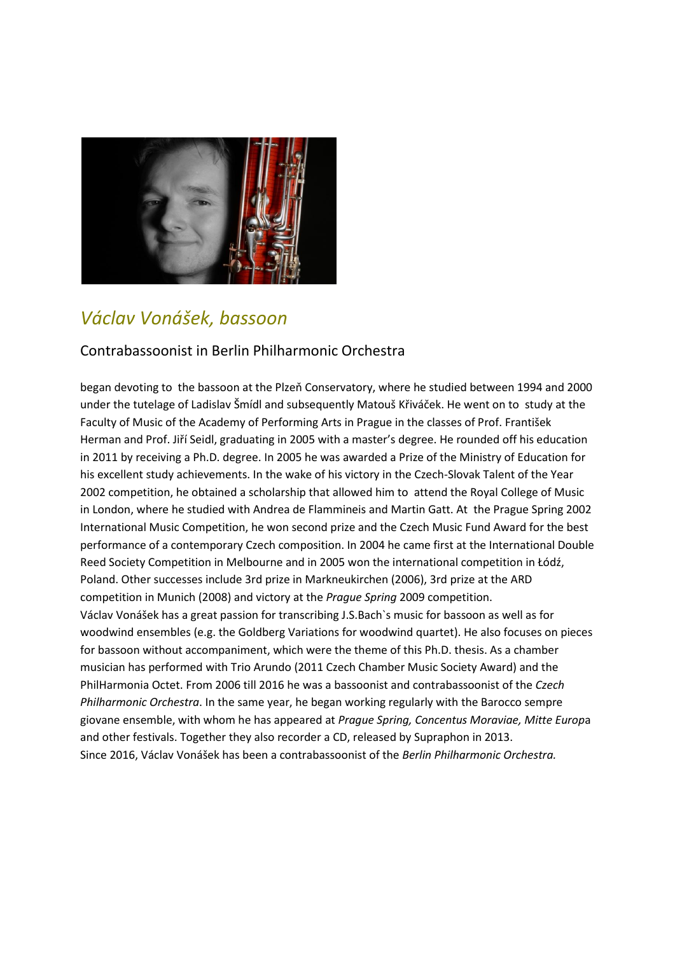

# *Václav Vonášek, bassoon*

#### Contrabassoonist in Berlin Philharmonic Orchestra

began devoting to the bassoon at the Plzeň Conservatory, where he studied between 1994 and 2000 under the tutelage of Ladislav Šmídl and subsequently Matouš Křiváček. He went on to study at the Faculty of Music of the Academy of Performing Arts in Prague in the classes of Prof. František Herman and Prof. Jiří Seidl, graduating in 2005 with a master's degree. He rounded off his education in 2011 by receiving a Ph.D. degree. In 2005 he was awarded a Prize of the Ministry of Education for his excellent study achievements. In the wake of his victory in the Czech-Slovak Talent of the Year 2002 competition, he obtained a scholarship that allowed him to attend the Royal College of Music in London, where he studied with Andrea de Flammineis and Martin Gatt. At the Prague Spring 2002 International Music Competition, he won second prize and the Czech Music Fund Award for the best performance of a contemporary Czech composition. In 2004 he came first at the International Double Reed Society Competition in Melbourne and in 2005 won the international competition in Łódź, Poland. Other successes include 3rd prize in Markneukirchen (2006), 3rd prize at the ARD competition in Munich (2008) and victory at the *Prague Spring* 2009 competition. Václav Vonášek has a great passion for transcribing J.S.Bach`s music for bassoon as well as for woodwind ensembles (e.g. the Goldberg Variations for woodwind quartet). He also focuses on pieces for bassoon without accompaniment, which were the theme of this Ph.D. thesis. As a chamber musician has performed with Trio Arundo (2011 Czech Chamber Music Society Award) and the PhilHarmonia Octet. From 2006 till 2016 he was a bassoonist and contrabassoonist of the *Czech Philharmonic Orchestra*. In the same year, he began working regularly with the Barocco sempre giovane ensemble, with whom he has appeared at *Prague Spring, Concentus Moraviae, Mitte Europ*a and other festivals. Together they also recorder a CD, released by Supraphon in 2013. Since 2016, Václav Vonášek has been a contrabassoonist of the *Berlin Philharmonic Orchestra.*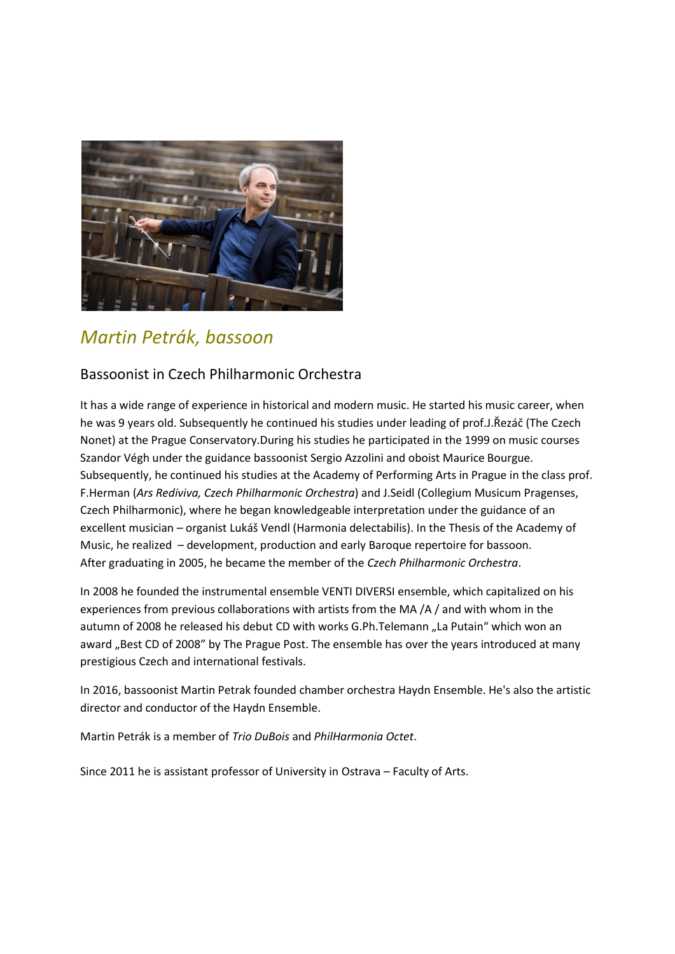

## *Martin Petrák, bassoon*

#### Bassoonist in Czech Philharmonic Orchestra

It has a wide range of experience in historical and modern music. He started his music career, when he was 9 years old. Subsequently he continued his studies under leading of prof.J.Řezáč (The Czech Nonet) at the Prague Conservatory.During his studies he participated in the 1999 on music courses Szandor Végh under the guidance bassoonist Sergio Azzolini and oboist Maurice Bourgue. Subsequently, he continued his studies at the Academy of Performing Arts in Prague in the class prof. F.Herman (*Ars Rediviva, Czech Philharmonic Orchestra*) and J.Seidl (Collegium Musicum Pragenses, Czech Philharmonic), where he began knowledgeable interpretation under the guidance of an excellent musician – organist Lukáš Vendl (Harmonia delectabilis). In the Thesis of the Academy of Music, he realized – development, production and early Baroque repertoire for bassoon. After graduating in 2005, he became the member of the *Czech Philharmonic Orchestra*.

In 2008 he founded the instrumental ensemble VENTI DIVERSI ensemble, which capitalized on his experiences from previous collaborations with artists from the MA /A / and with whom in the autumn of 2008 he released his debut CD with works G.Ph.Telemann "La Putain" which won an award "Best CD of 2008" by The Prague Post. The ensemble has over the years introduced at many prestigious Czech and international festivals.

In 2016, bassoonist Martin Petrak founded chamber orchestra Haydn Ensemble. He's also the artistic director and conductor of the Haydn Ensemble.

Martin Petrák is a member of *Trio DuBois* and *PhilHarmonia Octet*.

Since 2011 he is assistant professor of University in Ostrava – Faculty of Arts.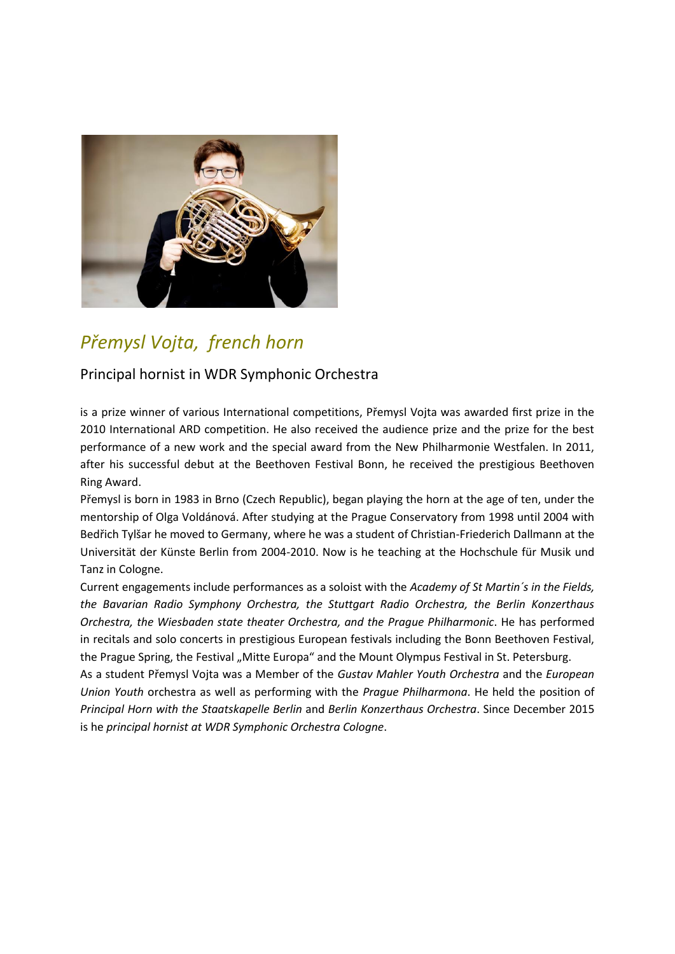

## *Přemysl Vojta, french horn*

#### Principal hornist in WDR Symphonic Orchestra

is a prize winner of various International competitions, Přemysl Vojta was awarded first prize in the 2010 International ARD competition. He also received the audience prize and the prize for the best performance of a new work and the special award from the New Philharmonie Westfalen. In 2011, after his successful debut at the Beethoven Festival Bonn, he received the prestigious Beethoven Ring Award.

Přemysl is born in 1983 in Brno (Czech Republic), began playing the horn at the age of ten, under the mentorship of Olga Voldánová. After studying at the Prague Conservatory from 1998 until 2004 with Bedřich Tylšar he moved to Germany, where he was a student of Christian-Friederich Dallmann at the Universität der Künste Berlin from 2004-2010. Now is he teaching at the Hochschule für Musik und Tanz in Cologne.

Current engagements include performances as a soloist with the *Academy of St Martin´s in the Fields, the Bavarian Radio Symphony Orchestra, the Stuttgart Radio Orchestra, the Berlin Konzerthaus Orchestra, the Wiesbaden state theater Orchestra, and the Prague Philharmonic*. He has performed in recitals and solo concerts in prestigious European festivals including the Bonn Beethoven Festival, the Prague Spring, the Festival "Mitte Europa" and the Mount Olympus Festival in St. Petersburg.

As a student Přemysl Vojta was a Member of the *Gustav Mahler Youth Orchestra* and the *European Union Youth* orchestra as well as performing with the *Prague Philharmona*. He held the position of *Principal Horn with the Staatskapelle Berlin* and *Berlin Konzerthaus Orchestra*. Since December 2015 is he *principal hornist at WDR Symphonic Orchestra Cologne*.